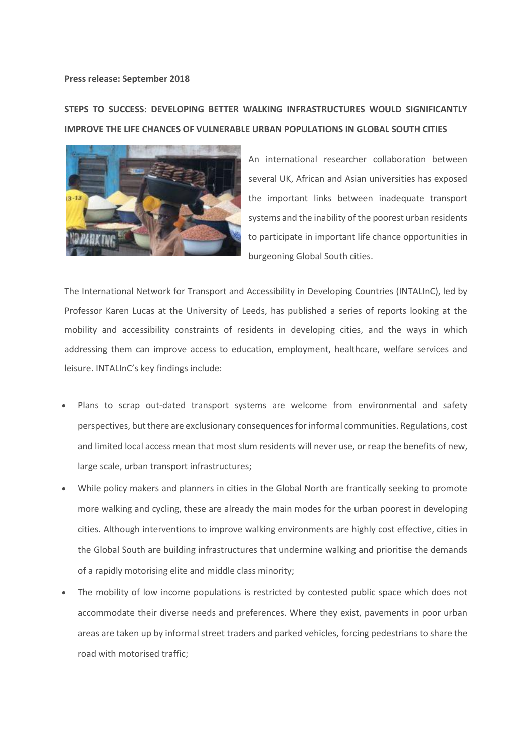## **Press release: September 2018**

## **STEPS TO SUCCESS: DEVELOPING BETTER WALKING INFRASTRUCTURES WOULD SIGNIFICANTLY IMPROVE THE LIFE CHANCES OF VULNERABLE URBAN POPULATIONS IN GLOBAL SOUTH CITIES**



An international researcher collaboration between several UK, African and Asian universities has exposed the important links between inadequate transport systems and the inability of the poorest urban residents to participate in important life chance opportunities in burgeoning Global South cities.

The International Network for Transport and Accessibility in Developing Countries (INTALInC), led by Professor Karen Lucas at the University of Leeds, has published a series of reports looking at the mobility and accessibility constraints of residents in developing cities, and the ways in which addressing them can improve access to education, employment, healthcare, welfare services and leisure. INTALInC's key findings include:

- Plans to scrap out-dated transport systems are welcome from environmental and safety perspectives, but there are exclusionary consequences for informal communities. Regulations, cost and limited local access mean that most slum residents will never use, or reap the benefits of new, large scale, urban transport infrastructures;
- While policy makers and planners in cities in the Global North are frantically seeking to promote more walking and cycling, these are already the main modes for the urban poorest in developing cities. Although interventions to improve walking environments are highly cost effective, cities in the Global South are building infrastructures that undermine walking and prioritise the demands of a rapidly motorising elite and middle class minority;
- The mobility of low income populations is restricted by contested public space which does not accommodate their diverse needs and preferences. Where they exist, pavements in poor urban areas are taken up by informal street traders and parked vehicles, forcing pedestrians to share the road with motorised traffic;